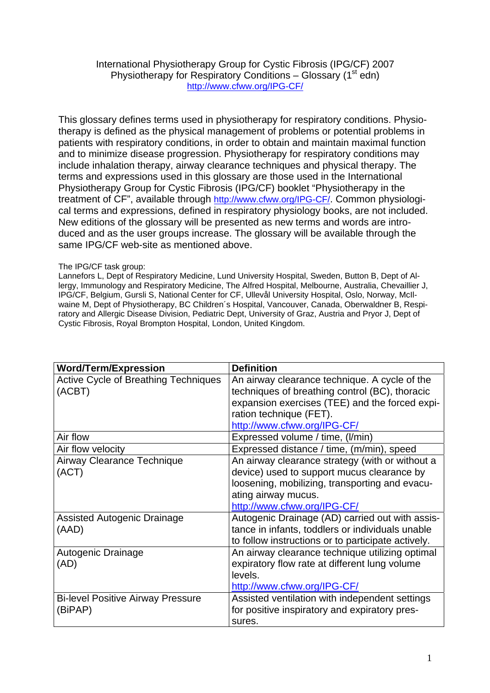## International Physiotherapy Group for Cystic Fibrosis (IPG/CF) 2007 Physiotherapy for Respiratory Conditions – Glossary  $(1<sup>st</sup>$ edn) <http://www.cfww.org/IPG-CF/>

This glossary defines terms used in physiotherapy for respiratory conditions. Physiotherapy is defined as the physical management of problems or potential problems in patients with respiratory conditions, in order to obtain and maintain maximal function and to minimize disease progression. Physiotherapy for respiratory conditions may include inhalation therapy, airway clearance techniques and physical therapy. The terms and expressions used in this glossary are those used in the International Physiotherapy Group for Cystic Fibrosis (IPG/CF) booklet "Physiotherapy in the treatment of CF", available through [http://www.cfww.org/IPG-CF/.](http://www.cfww.org/IPG-CF/) Common physiological terms and expressions, defined in respiratory physiology books, are not included. New editions of the glossary will be presented as new terms and words are introduced and as the user groups increase. The glossary will be available through the same IPG/CF web-site as mentioned above.

## The IPG/CF task group:

Lannefors L, Dept of Respiratory Medicine, Lund University Hospital, Sweden, Button B, Dept of Allergy, Immunology and Respiratory Medicine, The Alfred Hospital, Melbourne, Australia, Chevaillier J, IPG/CF, Belgium, Gursli S, National Center for CF, Ullevål University Hospital, Oslo, Norway, McIlwaine M, Dept of Physiotherapy, BC Children´s Hospital, Vancouver, Canada, Oberwaldner B, Respiratory and Allergic Disease Division, Pediatric Dept, University of Graz, Austria and Pryor J, Dept of Cystic Fibrosis, Royal Brompton Hospital, London, United Kingdom.

| <b>Word/Term/Expression</b>                 | <b>Definition</b>                                  |
|---------------------------------------------|----------------------------------------------------|
| <b>Active Cycle of Breathing Techniques</b> | An airway clearance technique. A cycle of the      |
| (ACBT)                                      | techniques of breathing control (BC), thoracic     |
|                                             | expansion exercises (TEE) and the forced expi-     |
|                                             | ration technique (FET).                            |
|                                             | http://www.cfww.org/IPG-CF/                        |
| Air flow                                    | Expressed volume / time, (I/min)                   |
| Air flow velocity                           | Expressed distance / time, (m/min), speed          |
| Airway Clearance Technique                  | An airway clearance strategy (with or without a    |
| (ACT)                                       | device) used to support mucus clearance by         |
|                                             | loosening, mobilizing, transporting and evacu-     |
|                                             | ating airway mucus.                                |
|                                             | http://www.cfww.org/IPG-CF/                        |
| <b>Assisted Autogenic Drainage</b>          | Autogenic Drainage (AD) carried out with assis-    |
| (AAD)                                       | tance in infants, toddlers or individuals unable   |
|                                             | to follow instructions or to participate actively. |
| Autogenic Drainage                          | An airway clearance technique utilizing optimal    |
| (AD)                                        | expiratory flow rate at different lung volume      |
|                                             | levels.                                            |
|                                             | http://www.cfww.org/IPG-CF/                        |
| <b>Bi-level Positive Airway Pressure</b>    | Assisted ventilation with independent settings     |
| (BiPAP)                                     | for positive inspiratory and expiratory pres-      |
|                                             | sures.                                             |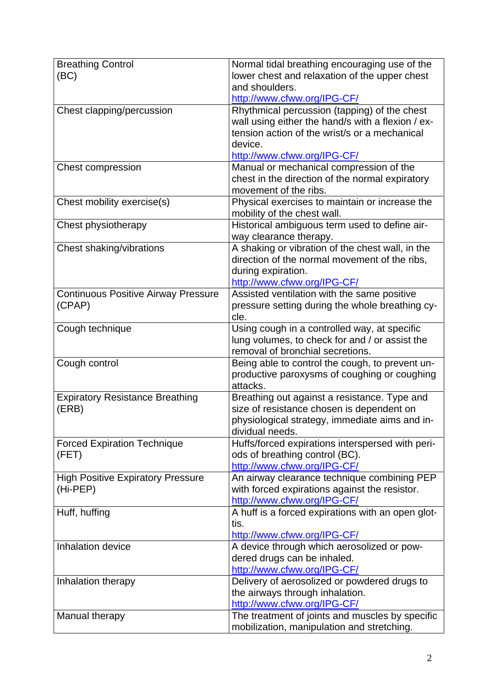| <b>Breathing Control</b>                   | Normal tidal breathing encouraging use of the     |
|--------------------------------------------|---------------------------------------------------|
|                                            |                                                   |
| (BC)                                       | lower chest and relaxation of the upper chest     |
|                                            | and shoulders.                                    |
|                                            | http://www.cfww.org/IPG-CF/                       |
| Chest clapping/percussion                  | Rhythmical percussion (tapping) of the chest      |
|                                            | wall using either the hand/s with a flexion / ex- |
|                                            | tension action of the wrist/s or a mechanical     |
|                                            | device.                                           |
|                                            | http://www.cfww.org/IPG-CF/                       |
| <b>Chest compression</b>                   | Manual or mechanical compression of the           |
|                                            | chest in the direction of the normal expiratory   |
|                                            | movement of the ribs.                             |
|                                            |                                                   |
| Chest mobility exercise(s)                 | Physical exercises to maintain or increase the    |
|                                            | mobility of the chest wall.                       |
| Chest physiotherapy                        | Historical ambiguous term used to define air-     |
|                                            | way clearance therapy.                            |
| Chest shaking/vibrations                   | A shaking or vibration of the chest wall, in the  |
|                                            | direction of the normal movement of the ribs,     |
|                                            | during expiration.                                |
|                                            | http://www.cfww.org/IPG-CF/                       |
| <b>Continuous Positive Airway Pressure</b> | Assisted ventilation with the same positive       |
|                                            |                                                   |
| (CPAP)                                     | pressure setting during the whole breathing cy-   |
|                                            | cle.                                              |
| Cough technique                            | Using cough in a controlled way, at specific      |
|                                            | lung volumes, to check for and / or assist the    |
|                                            | removal of bronchial secretions.                  |
| Cough control                              | Being able to control the cough, to prevent un-   |
|                                            | productive paroxysms of coughing or coughing      |
|                                            | attacks.                                          |
| <b>Expiratory Resistance Breathing</b>     | Breathing out against a resistance. Type and      |
| (ERB)                                      | size of resistance chosen is dependent on         |
|                                            | physiological strategy, immediate aims and in-    |
|                                            | dividual needs.                                   |
|                                            |                                                   |
| <b>Forced Expiration Technique</b>         | Huffs/forced expirations interspersed with peri-  |
| (FET)                                      | ods of breathing control (BC).                    |
|                                            | http://www.cfww.org/IPG-CF/                       |
| <b>High Positive Expiratory Pressure</b>   | An airway clearance technique combining PEP       |
| (Hi-PEP)                                   | with forced expirations against the resistor.     |
|                                            | http://www.cfww.org/IPG-CF/                       |
| Huff, huffing                              | A huff is a forced expirations with an open glot- |
|                                            | tis.                                              |
|                                            | http://www.cfww.org/IPG-CF/                       |
| Inhalation device                          | A device through which aerosolized or pow-        |
|                                            | dered drugs can be inhaled.                       |
|                                            |                                                   |
|                                            | http://www.cfww.org/IPG-CF/                       |
| Inhalation therapy                         | Delivery of aerosolized or powdered drugs to      |
|                                            | the airways through inhalation.                   |
|                                            | http://www.cfww.org/IPG-CF/                       |
| Manual therapy                             | The treatment of joints and muscles by specific   |
|                                            | mobilization, manipulation and stretching.        |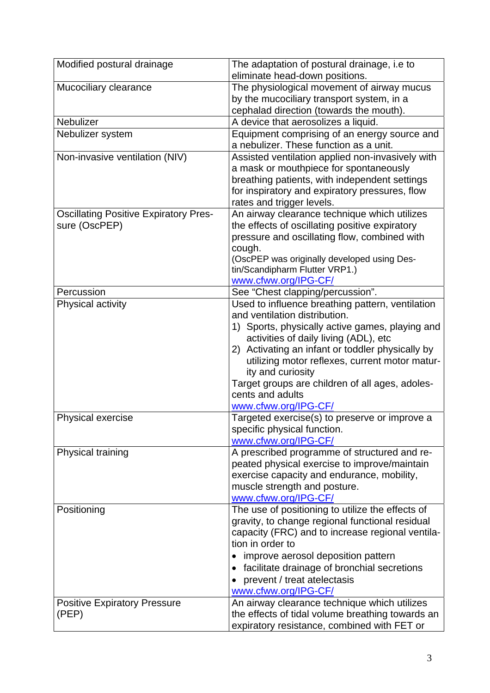| Modified postural drainage                   | The adaptation of postural drainage, i.e to      |
|----------------------------------------------|--------------------------------------------------|
|                                              | eliminate head-down positions.                   |
| Mucociliary clearance                        | The physiological movement of airway mucus       |
|                                              | by the mucociliary transport system, in a        |
|                                              | cephalad direction (towards the mouth).          |
| Nebulizer                                    | A device that aerosolizes a liquid.              |
| Nebulizer system                             | Equipment comprising of an energy source and     |
|                                              | a nebulizer. These function as a unit.           |
| Non-invasive ventilation (NIV)               | Assisted ventilation applied non-invasively with |
|                                              | a mask or mouthpiece for spontaneously           |
|                                              | breathing patients, with independent settings    |
|                                              | for inspiratory and expiratory pressures, flow   |
|                                              | rates and trigger levels.                        |
| <b>Oscillating Positive Expiratory Pres-</b> | An airway clearance technique which utilizes     |
| sure (OscPEP)                                | the effects of oscillating positive expiratory   |
|                                              | pressure and oscillating flow, combined with     |
|                                              | cough.                                           |
|                                              | (OscPEP was originally developed using Des-      |
|                                              | tin/Scandipharm Flutter VRP1.)                   |
|                                              | www.cfww.org/IPG-CF/                             |
| Percussion                                   | See "Chest clapping/percussion".                 |
| Physical activity                            | Used to influence breathing pattern, ventilation |
|                                              | and ventilation distribution.                    |
|                                              | 1) Sports, physically active games, playing and  |
|                                              | activities of daily living (ADL), etc            |
|                                              | 2) Activating an infant or toddler physically by |
|                                              | utilizing motor reflexes, current motor matur-   |
|                                              | ity and curiosity                                |
|                                              | Target groups are children of all ages, adoles-  |
|                                              | cents and adults                                 |
|                                              | www.cfww.org/IPG-CF/                             |
| <b>Physical exercise</b>                     | Targeted exercise(s) to preserve or improve a    |
|                                              | specific physical function.                      |
|                                              | www.cfww.org/IPG-CF/                             |
| Physical training                            | A prescribed programme of structured and re-     |
|                                              | peated physical exercise to improve/maintain     |
|                                              | exercise capacity and endurance, mobility,       |
|                                              | muscle strength and posture.                     |
|                                              | www.cfww.org/IPG-CF/                             |
| Positioning                                  | The use of positioning to utilize the effects of |
|                                              | gravity, to change regional functional residual  |
|                                              | capacity (FRC) and to increase regional ventila- |
|                                              | tion in order to                                 |
|                                              | improve aerosol deposition pattern               |
|                                              |                                                  |
|                                              | facilitate drainage of bronchial secretions      |
|                                              | prevent / treat atelectasis                      |
|                                              | www.cfww.org/IPG-CF/                             |
| <b>Positive Expiratory Pressure</b>          | An airway clearance technique which utilizes     |
| (PEP)                                        | the effects of tidal volume breathing towards an |
|                                              | expiratory resistance, combined with FET or      |